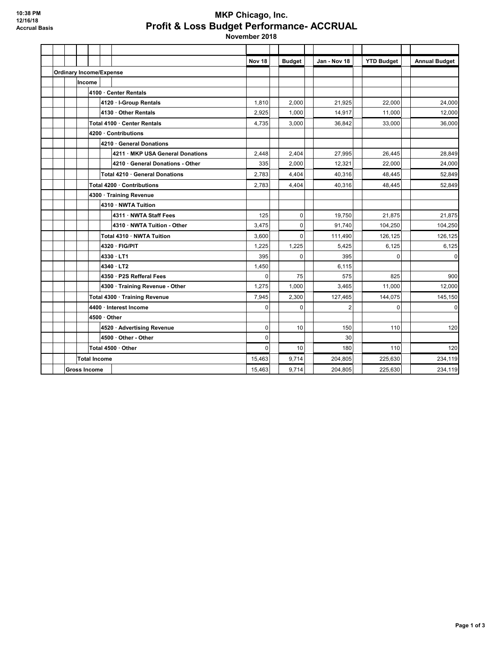## **MKP Chicago, Inc. Profit & Loss Budget Performance- ACCRUAL**

 **November 2018**

|  |                                |                     |                    |                                  | Nov <sub>18</sub> | <b>Budget</b> | Jan - Nov 18   | <b>YTD Budget</b> | <b>Annual Budget</b> |
|--|--------------------------------|---------------------|--------------------|----------------------------------|-------------------|---------------|----------------|-------------------|----------------------|
|  | <b>Ordinary Income/Expense</b> |                     |                    |                                  |                   |               |                |                   |                      |
|  |                                | Income              |                    |                                  |                   |               |                |                   |                      |
|  |                                |                     |                    | 4100 · Center Rentals            |                   |               |                |                   |                      |
|  |                                |                     |                    | 4120 · I-Group Rentals           | 1,810             | 2,000         | 21,925         | 22,000            | 24,000               |
|  |                                |                     |                    | 4130 · Other Rentals             | 2,925             | 1,000         | 14,917         | 11,000            | 12,000               |
|  |                                |                     |                    | Total 4100 · Center Rentals      | 4,735             | 3,000         | 36,842         | 33,000            | 36,000               |
|  |                                |                     |                    | 4200 · Contributions             |                   |               |                |                   |                      |
|  |                                |                     |                    | 4210 General Donations           |                   |               |                |                   |                      |
|  |                                |                     |                    | 4211 · MKP USA General Donations | 2,448             | 2,404         | 27,995         | 26,445            | 28,849               |
|  |                                |                     |                    | 4210 General Donations - Other   | 335               | 2,000         | 12,321         | 22,000            | 24,000               |
|  |                                |                     |                    | Total 4210 · General Donations   | 2,783             | 4,404         | 40,316         | 48,445            | 52,849               |
|  |                                |                     |                    | Total 4200 · Contributions       | 2,783             | 4,404         | 40,316         | 48,445            | 52,849               |
|  |                                |                     |                    | 4300 · Training Revenue          |                   |               |                |                   |                      |
|  |                                |                     |                    | 4310 · NWTA Tuition              |                   |               |                |                   |                      |
|  |                                |                     |                    | 4311 NWTA Staff Fees             | 125               | 0             | 19.750         | 21,875            | 21,875               |
|  |                                |                     |                    | 4310 NWTA Tuition - Other        | 3,475             | 0             | 91.740         | 104,250           | 104,250              |
|  |                                |                     |                    | Total 4310 · NWTA Tuition        | 3,600             | $\Omega$      | 111,490        | 126,125           | 126,125              |
|  |                                |                     |                    | 4320 · FIG/PIT                   | 1,225             | 1,225         | 5.425          | 6.125             | 6,125                |
|  |                                |                     |                    | 4330 LT1                         | 395               | $\Omega$      | 395            | $\Omega$          | $\mathbf 0$          |
|  |                                |                     |                    | $4340 \cdot LTT2$                | 1,450             |               | 6,115          |                   |                      |
|  |                                |                     |                    | 4350 · P2S Refferal Fees         | 0                 | 75            | 575            | 825               | 900                  |
|  |                                |                     |                    | 4300 · Training Revenue - Other  | 1,275             | 1,000         | 3,465          | 11,000            | 12,000               |
|  |                                |                     |                    | Total 4300 · Training Revenue    | 7,945             | 2,300         | 127,465        | 144,075           | 145,150              |
|  |                                |                     |                    | 4400 · Interest Income           | $\mathbf 0$       | 0             | $\overline{2}$ | $\mathbf 0$       | 0                    |
|  |                                |                     | $4500 \cdot$ Other |                                  |                   |               |                |                   |                      |
|  |                                |                     |                    | 4520 · Advertising Revenue       | $\mathbf 0$       | 10            | 150            | 110               | 120                  |
|  |                                |                     |                    | 4500 · Other - Other             | $\mathbf{0}$      |               | 30             |                   |                      |
|  |                                |                     |                    | Total 4500 · Other               | $\Omega$          | 10            | 180            | 110               | 120                  |
|  |                                | <b>Total Income</b> |                    |                                  | 15,463            | 9,714         | 204,805        | 225,630           | 234,119              |
|  | <b>Gross Income</b>            |                     |                    |                                  | 15,463            | 9,714         | 204,805        | 225,630           | 234,119              |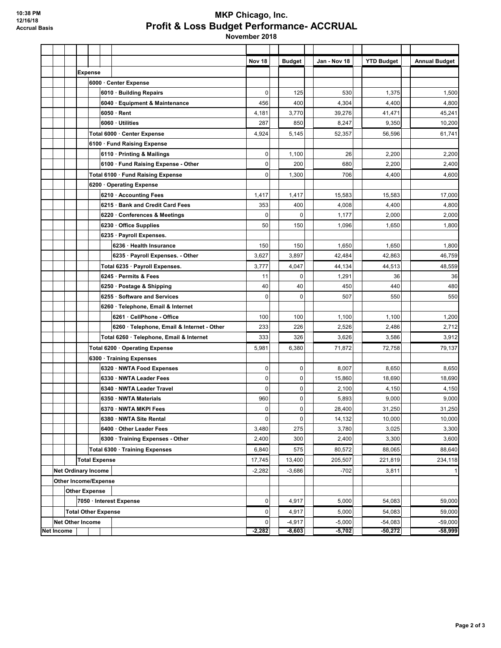## **MKP Chicago, Inc. Profit & Loss Budget Performance- ACCRUAL**

 **November 2018**

|                   |  |                             |                                            | Nov 18         | <b>Budget</b> | Jan - Nov 18 | <b>YTD Budget</b> | <b>Annual Budget</b> |
|-------------------|--|-----------------------------|--------------------------------------------|----------------|---------------|--------------|-------------------|----------------------|
|                   |  | <b>Expense</b>              |                                            |                |               |              |                   |                      |
|                   |  |                             | 6000 · Center Expense                      |                |               |              |                   |                      |
|                   |  |                             | 6010 · Building Repairs                    | $\mathbf 0$    | 125           | 530          | 1,375             | 1,500                |
|                   |  |                             | 6040 · Equipment & Maintenance             | 456            | 400           | 4,304        | 4,400             | 4,800                |
|                   |  |                             | $6050 \cdot$ Rent                          | 4,181          | 3,770         | 39,276       | 41,471            | 45,241               |
|                   |  |                             | 6060 · Utilities                           | 287            | 850           | 8,247        | 9,350             | 10,200               |
|                   |  |                             | Total 6000 · Center Expense                | 4,924          | 5,145         | 52,357       | 56,596            | 61,741               |
|                   |  |                             | 6100 · Fund Raising Expense                |                |               |              |                   |                      |
|                   |  |                             | 6110 · Printing & Mailings                 | $\mathbf 0$    | 1,100         | 26           | 2,200             | 2,200                |
|                   |  |                             | 6100 · Fund Raising Expense - Other        | $\mathbf 0$    | 200           | 680          | 2,200             | 2,400                |
|                   |  |                             | Total 6100 · Fund Raising Expense          | $\mathbf 0$    | 1,300         | 706          | 4,400             | 4,600                |
|                   |  |                             | 6200 Operating Expense                     |                |               |              |                   |                      |
|                   |  |                             | 6210 · Accounting Fees                     | 1,417          | 1,417         | 15,583       | 15,583            | 17,000               |
|                   |  |                             | 6215 · Bank and Credit Card Fees           | 353            | 400           | 4,008        | 4,400             | 4,800                |
|                   |  |                             | 6220 · Conferences & Meetings              | 0              | 0             | 1,177        | 2,000             | 2,000                |
|                   |  |                             | 6230 Office Supplies                       | 50             | 150           | 1,096        | 1,650             | 1,800                |
|                   |  |                             | 6235 · Payroll Expenses.                   |                |               |              |                   |                      |
|                   |  |                             | 6236 · Health Insurance                    | 150            | 150           | 1,650        | 1,650             | 1,800                |
|                   |  |                             | 6235 · Payroll Expenses. - Other           | 3,627          | 3,897         | 42,484       | 42,863            | 46,759               |
|                   |  |                             | Total 6235 · Payroll Expenses.             | 3,777          | 4,047         | 44,134       | 44,513            | 48,559               |
|                   |  |                             | 6245 · Permits & Fees                      | 11             | $\mathbf 0$   | 1,291        | 36                | 36                   |
|                   |  |                             | 6250 · Postage & Shipping                  | 40             | 40            | 450          | 440               | 480                  |
|                   |  |                             | 6255 · Software and Services               | $\mathbf 0$    | 0             | 507          | 550               | 550                  |
|                   |  |                             | 6260 · Telephone, Email & Internet         |                |               |              |                   |                      |
|                   |  |                             | 6261 CellPhone - Office                    | 100            | 100           | 1,100        | 1,100             | 1,200                |
|                   |  |                             | 6260 · Telephone, Email & Internet - Other | 233            | 226           | 2,526        | 2,486             | 2,712                |
|                   |  |                             | Total 6260 · Telephone, Email & Internet   | 333            | 326           | 3,626        | 3,586             | 3,912                |
|                   |  |                             | Total 6200 · Operating Expense             | 5,981          | 6,380         | 71,872       | 72,758            | 79,137               |
|                   |  |                             | 6300 · Training Expenses                   |                |               |              |                   |                      |
|                   |  |                             | 6320 · NWTA Food Expenses                  | $\overline{0}$ | 0             | 8,007        | 8,650             | 8,650                |
|                   |  |                             | 6330 · NWTA Leader Fees                    | $\overline{0}$ | 0             | 15,860       | 18,690            | 18,690               |
|                   |  |                             | 6340 · NWTA Leader Travel                  | $\mathbf{0}$   | 0             | 2,100        | 4,150             | 4,150                |
|                   |  |                             | 6350 · NWTA Materials                      | 960            | 0             | 5,893        | 9,000             | 9,000                |
|                   |  |                             | 6370 · NWTA MKPI Fees                      | 0              | 0             | 28,400       | 31,250            | 31,250               |
|                   |  |                             | 6380 · NWTA Site Rental                    | $\mathbf{0}$   | $\mathbf 0$   | 14,132       | 10,000            | 10,000               |
|                   |  |                             | 6400 Other Leader Fees                     | 3,480          | 275           | 3,780        | 3,025             | 3,300                |
|                   |  |                             | 6300 · Training Expenses - Other           | 2,400          | 300           | 2,400        | 3,300             | 3,600                |
|                   |  |                             | Total 6300 · Training Expenses             | 6,840          | 575           | 80,572       | 88,065            | 88,640               |
|                   |  | <b>Total Expense</b>        |                                            | 17,745         | 13,400        | 205,507      | 221,819           | 234,118              |
|                   |  | <b>Net Ordinary Income</b>  |                                            | $-2,282$       | $-3,686$      | $-702$       | 3,811             | 1                    |
|                   |  | <b>Other Income/Expense</b> |                                            |                |               |              |                   |                      |
|                   |  | <b>Other Expense</b>        |                                            |                |               |              |                   |                      |
|                   |  |                             | 7050 · Interest Expense                    | $\overline{0}$ | 4,917         | 5,000        | 54,083            | 59,000               |
|                   |  | <b>Total Other Expense</b>  |                                            | 0              | 4,917         | 5,000        | 54,083            | 59,000               |
|                   |  | <b>Net Other Income</b>     |                                            | 0              | $-4,917$      | $-5,000$     | $-54,083$         | $-59,000$            |
| <b>Net Income</b> |  |                             |                                            | $-2,282$       | $-8,603$      | $-5,702$     | $-50,272$         | $-58,999$            |